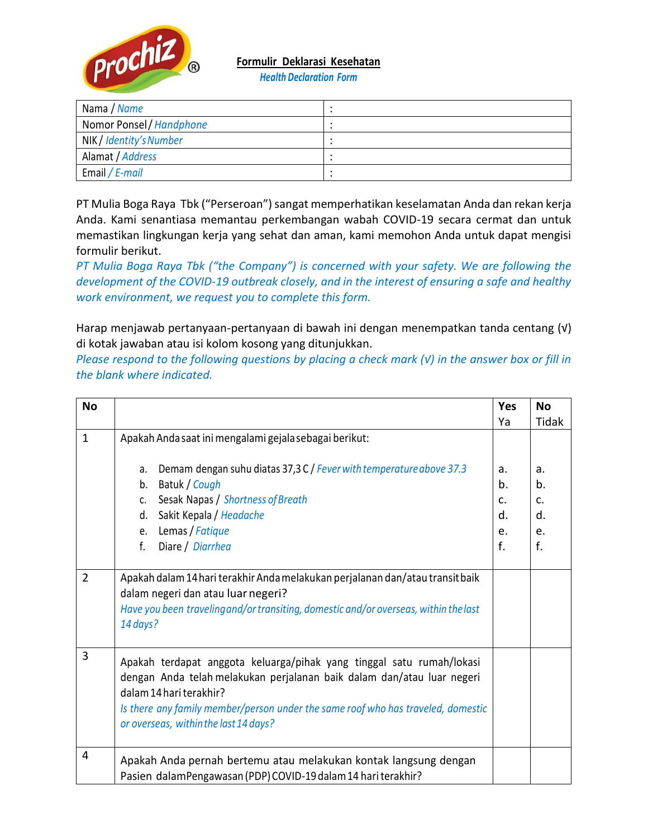

**Formulir Deklarasi Kesehatan**

*Health Declaration Form*

| Nama / Name              |  |
|--------------------------|--|
| Nomor Ponsel / Handphone |  |
| NIK / Identity's Number  |  |
| Alamat / Address         |  |
| Email / E-mail           |  |

PT Mulia Boga Raya Tbk ("Perseroan") sangat memperhatikan keselamatan Anda dan rekan kerja Anda. Kami senantiasa memantau perkembangan wabah COVID-19 secara cermat dan untuk memastikan lingkungan kerja yang sehat dan aman, kami memohon Anda untuk dapat mengisi formulir berikut.

*PT Mulia Boga Raya Tbk ("the Company") is concerned with your safety. We are following the development of the COVID-19 outbreak closely, and in the interest of ensuring a safe and healthy work environment, we request you to complete this form.*

Harap menjawab pertanyaan-pertanyaan di bawah ini dengan menempatkan tanda centang (√) di kotak jawaban atau isi kolom kosong yang ditunjukkan.

*Please respond to the following questions by placing a check mark (√) in the answer box or fill in the blank where indicated.*

| <b>No</b>      |                                                                                                                                                                                                                                                                                                         | <b>Yes</b>  | <b>No</b> |
|----------------|---------------------------------------------------------------------------------------------------------------------------------------------------------------------------------------------------------------------------------------------------------------------------------------------------------|-------------|-----------|
|                |                                                                                                                                                                                                                                                                                                         | Ya          | Tidak     |
| $\mathbf{1}$   | Apakah Anda saat ini mengalami gejala sebagai berikut:                                                                                                                                                                                                                                                  |             |           |
|                | Demam dengan suhu diatas 37,3 C / Fever with temperature above 37.3<br>a.                                                                                                                                                                                                                               | a.          | a.        |
|                | Batuk / Cough<br>b.                                                                                                                                                                                                                                                                                     | b.          | b.        |
|                | Sesak Napas / Shortness of Breath<br>C.                                                                                                                                                                                                                                                                 | $C_{\cdot}$ | C.        |
|                | Sakit Kepala / Headache<br>d.                                                                                                                                                                                                                                                                           | d.          | d.        |
|                | Lemas / Fatique<br>е.                                                                                                                                                                                                                                                                                   | e.          | e.        |
|                | f.<br>Diare / Diarrhea                                                                                                                                                                                                                                                                                  | f.          | f.        |
| $\overline{2}$ | Apakah dalam 14 hari terakhir Anda melakukan perjalanan dan/atau transit baik<br>dalam negeri dan atau luar negeri?<br>Have you been traveling and/or transiting, domestic and/or overseas, within the last<br>14 days?                                                                                 |             |           |
| 3              | Apakah terdapat anggota keluarga/pihak yang tinggal satu rumah/lokasi<br>dengan Anda telah melakukan perjalanan baik dalam dan/atau luar negeri<br>dalam 14 hari terakhir?<br>Is there any family member/person under the same roof who has traveled, domestic<br>or overseas, within the last 14 days? |             |           |
| 4              | Apakah Anda pernah bertemu atau melakukan kontak langsung dengan<br>Pasien dalamPengawasan (PDP) COVID-19 dalam 14 hari terakhir?                                                                                                                                                                       |             |           |